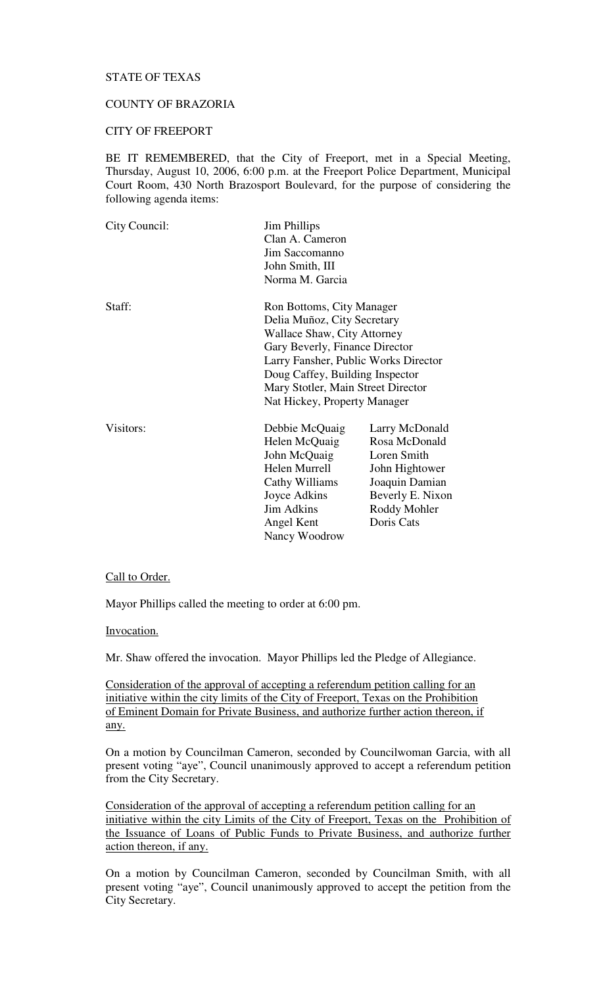# STATE OF TEXAS

# COUNTY OF BRAZORIA

## CITY OF FREEPORT

BE IT REMEMBERED, that the City of Freeport, met in a Special Meeting, Thursday, August 10, 2006, 6:00 p.m. at the Freeport Police Department, Municipal Court Room, 430 North Brazosport Boulevard, for the purpose of considering the following agenda items:

| City Council: | <b>Jim Phillips</b><br>Clan A. Cameron<br>Jim Saccomanno<br>John Smith, III<br>Norma M. Garcia                                                                                                                                                                             |                                                                                                                                      |
|---------------|----------------------------------------------------------------------------------------------------------------------------------------------------------------------------------------------------------------------------------------------------------------------------|--------------------------------------------------------------------------------------------------------------------------------------|
| Staff:        | Ron Bottoms, City Manager<br>Delia Muñoz, City Secretary<br>Wallace Shaw, City Attorney<br>Gary Beverly, Finance Director<br>Larry Fansher, Public Works Director<br>Doug Caffey, Building Inspector<br>Mary Stotler, Main Street Director<br>Nat Hickey, Property Manager |                                                                                                                                      |
| Visitors:     | Debbie McQuaig<br>Helen McQuaig<br>John McQuaig<br>Helen Murrell<br>Cathy Williams<br>Joyce Adkins<br><b>Jim Adkins</b><br>Angel Kent<br>Nancy Woodrow                                                                                                                     | Larry McDonald<br>Rosa McDonald<br>Loren Smith<br>John Hightower<br>Joaquin Damian<br>Beverly E. Nixon<br>Roddy Mohler<br>Doris Cats |

#### Call to Order.

Mayor Phillips called the meeting to order at 6:00 pm.

Invocation.

Mr. Shaw offered the invocation. Mayor Phillips led the Pledge of Allegiance.

Consideration of the approval of accepting a referendum petition calling for an initiative within the city limits of the City of Freeport, Texas on the Prohibition of Eminent Domain for Private Business, and authorize further action thereon, if any.

On a motion by Councilman Cameron, seconded by Councilwoman Garcia, with all present voting "aye", Council unanimously approved to accept a referendum petition from the City Secretary.

Consideration of the approval of accepting a referendum petition calling for an initiative within the city Limits of the City of Freeport, Texas on the Prohibition of the Issuance of Loans of Public Funds to Private Business, and authorize further action thereon, if any.

On a motion by Councilman Cameron, seconded by Councilman Smith, with all present voting "aye", Council unanimously approved to accept the petition from the City Secretary.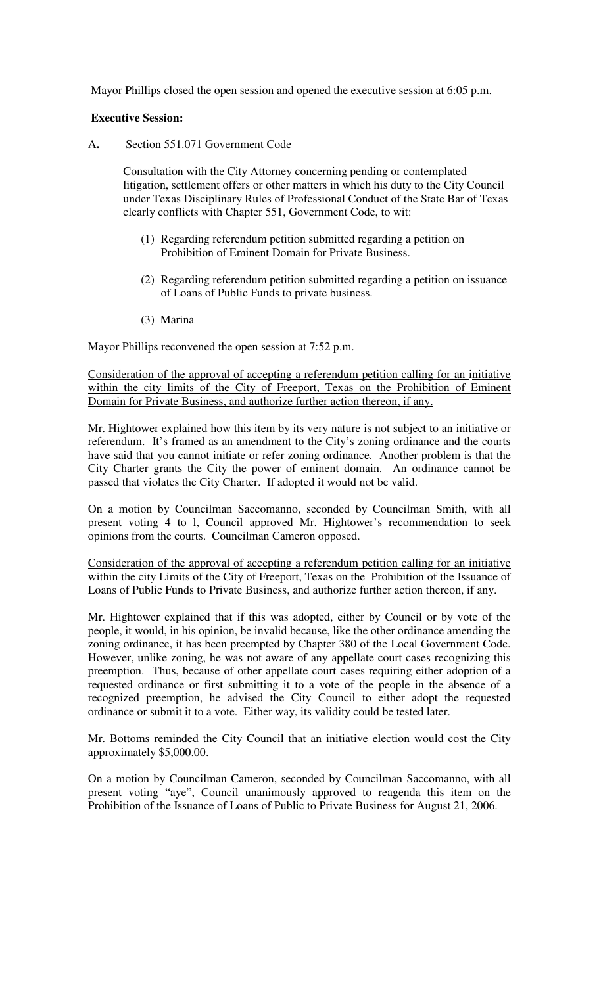Mayor Phillips closed the open session and opened the executive session at 6:05 p.m.

## **Executive Session:**

A**.** Section 551.071 Government Code

Consultation with the City Attorney concerning pending or contemplated litigation, settlement offers or other matters in which his duty to the City Council under Texas Disciplinary Rules of Professional Conduct of the State Bar of Texas clearly conflicts with Chapter 551, Government Code, to wit:

- (1) Regarding referendum petition submitted regarding a petition on Prohibition of Eminent Domain for Private Business.
- (2) Regarding referendum petition submitted regarding a petition on issuance of Loans of Public Funds to private business.
- (3) Marina

Mayor Phillips reconvened the open session at 7:52 p.m.

Consideration of the approval of accepting a referendum petition calling for an initiative within the city limits of the City of Freeport, Texas on the Prohibition of Eminent Domain for Private Business, and authorize further action thereon, if any.

Mr. Hightower explained how this item by its very nature is not subject to an initiative or referendum. It's framed as an amendment to the City's zoning ordinance and the courts have said that you cannot initiate or refer zoning ordinance. Another problem is that the City Charter grants the City the power of eminent domain. An ordinance cannot be passed that violates the City Charter. If adopted it would not be valid.

On a motion by Councilman Saccomanno, seconded by Councilman Smith, with all present voting 4 to l, Council approved Mr. Hightower's recommendation to seek opinions from the courts. Councilman Cameron opposed.

Consideration of the approval of accepting a referendum petition calling for an initiative within the city Limits of the City of Freeport, Texas on the Prohibition of the Issuance of Loans of Public Funds to Private Business, and authorize further action thereon, if any.

Mr. Hightower explained that if this was adopted, either by Council or by vote of the people, it would, in his opinion, be invalid because, like the other ordinance amending the zoning ordinance, it has been preempted by Chapter 380 of the Local Government Code. However, unlike zoning, he was not aware of any appellate court cases recognizing this preemption. Thus, because of other appellate court cases requiring either adoption of a requested ordinance or first submitting it to a vote of the people in the absence of a recognized preemption, he advised the City Council to either adopt the requested ordinance or submit it to a vote. Either way, its validity could be tested later.

Mr. Bottoms reminded the City Council that an initiative election would cost the City approximately \$5,000.00.

On a motion by Councilman Cameron, seconded by Councilman Saccomanno, with all present voting "aye", Council unanimously approved to reagenda this item on the Prohibition of the Issuance of Loans of Public to Private Business for August 21, 2006.